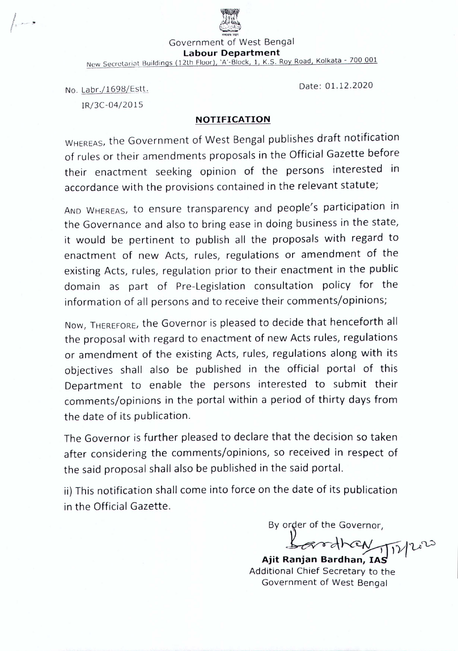

Government of West Bengal

**Labour Department**

New Secretariat Buildings (12th Floor), 'A'-Block, 1, K.S. Roy Road, Kolkata - 700 001

No. Labr./1698/Estt.

IR/3C-04/20 15

## **NOTIFICATION**

WHEREAS, the Government of West Bengal publishes draft notification of rules or their amendments proposals in the Official Gazette before their enactment seeking opinion of the persons interested in accordance with the provisions contained in the relevant statute;

AND WHEREAS, to ensure transparency and people's participation in the Governance and also to bring ease in doing business in the state, it would be pertinent to publish all the proposals with regard to enactment of new Acts, rules, regulations or amendment of the existing Acts, rules, regulation prior to their enactment in the public domain as part of Pre-Legislation consultation policy for the information of all persons and to receive their comments/opinions;

Now, THEREFORE, the Governor is pleased to decide that henceforth all the proposal with regard to enactment of new Acts rules, regulations or amendment of the existing Acts, rules, regulations along with its objectives shall also be published in the official portal of this Department to enable the persons interested to submit their comments/opinions in the portal within a period of thirty days from the date of its publication.

The Governor is further pleased to declare that the decision so taken after considering the comments/opinions, so received in respect of the said proposal shall also be published in the said portal.

ii) This notification shall come into force on the date of its publication in the Official Gazette.

By order of the Governor,

Date: 01.12.2020

 $rd$  $k$ CN  $11$ 1)

**Ajit Ranjan** Bardhan~ **IA'g , .** Additional Chief Secretary to the Government of West Bengal